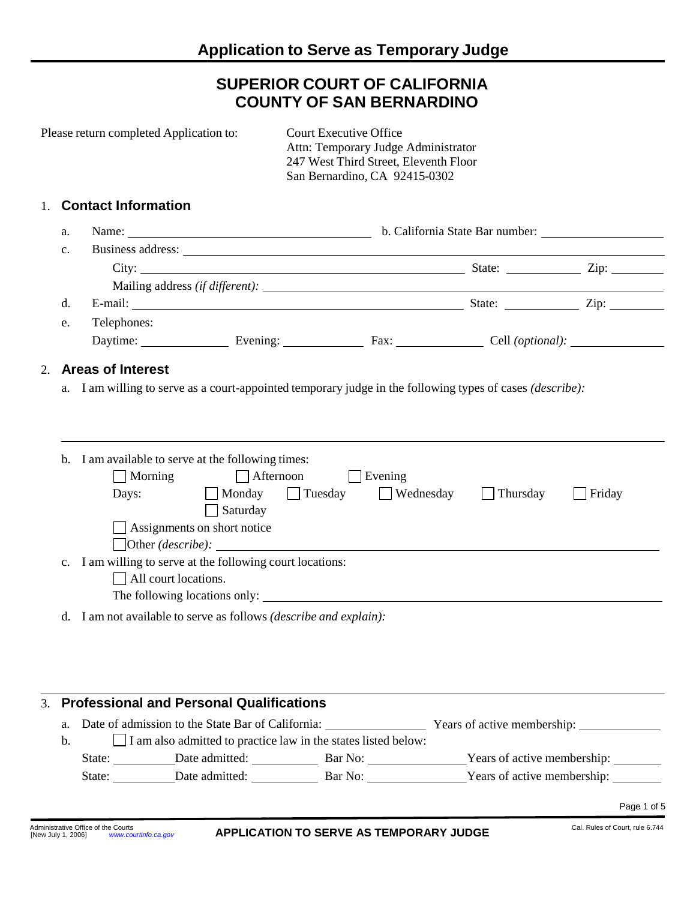# **SUPERIOR COURT OF CALIFORNIA COUNTY OF SAN BERNARDINO**

|                | Please return completed Application to:                                                                                                                                                                                        | <b>Court Executive Office</b><br>Attn: Temporary Judge Administrator<br>247 West Third Street, Eleventh Floor<br>San Bernardino, CA 92415-0302 |                     |               |  |  |  |  |
|----------------|--------------------------------------------------------------------------------------------------------------------------------------------------------------------------------------------------------------------------------|------------------------------------------------------------------------------------------------------------------------------------------------|---------------------|---------------|--|--|--|--|
| $1_{\cdot}$    | <b>Contact Information</b>                                                                                                                                                                                                     |                                                                                                                                                |                     |               |  |  |  |  |
| a.             |                                                                                                                                                                                                                                |                                                                                                                                                |                     |               |  |  |  |  |
| $\mathbf{c}$ . | Business address: No. 1996. The Second Second Second Second Second Second Second Second Second Second Second Second Second Second Second Second Second Second Second Second Second Second Second Second Second Second Second S |                                                                                                                                                |                     |               |  |  |  |  |
|                |                                                                                                                                                                                                                                |                                                                                                                                                |                     |               |  |  |  |  |
|                |                                                                                                                                                                                                                                |                                                                                                                                                |                     |               |  |  |  |  |
| d.             | E-mail: Zip: Zip: Zip:                                                                                                                                                                                                         |                                                                                                                                                |                     |               |  |  |  |  |
| e.             | Telephones:                                                                                                                                                                                                                    |                                                                                                                                                |                     |               |  |  |  |  |
|                | Daytime: Evening: Evening: Fax: Cell (optional): ________________________________                                                                                                                                              |                                                                                                                                                |                     |               |  |  |  |  |
|                | a. I am willing to serve as a court-appointed temporary judge in the following types of cases ( <i>describe</i> ):                                                                                                             |                                                                                                                                                |                     |               |  |  |  |  |
|                |                                                                                                                                                                                                                                |                                                                                                                                                |                     |               |  |  |  |  |
|                | b. I am available to serve at the following times:<br>Morning<br>Days: Monday Tuesday Wednesday<br>$\Box$ Saturday<br>$\Box$ Assignments on short notice                                                                       | Afternoon<br>Evening<br>$\Box$ Other ( <i>describe</i> ): $\Box$                                                                               | Thursday<br>$\perp$ | $\Box$ Friday |  |  |  |  |
| c.             | I am willing to serve at the following court locations:<br>$\Box$ All court locations.                                                                                                                                         |                                                                                                                                                |                     |               |  |  |  |  |
|                | d. I am not available to serve as follows <i>(describe and explain)</i> :                                                                                                                                                      |                                                                                                                                                |                     |               |  |  |  |  |
| 3.             | <b>Professional and Personal Qualifications</b>                                                                                                                                                                                |                                                                                                                                                |                     |               |  |  |  |  |
| a.             |                                                                                                                                                                                                                                |                                                                                                                                                |                     |               |  |  |  |  |
| b.             | Date of admission to the State Bar of California: Vears of active membership:                                                                                                                                                  | $\Box$ I am also admitted to practice law in the states listed below:                                                                          |                     |               |  |  |  |  |
|                |                                                                                                                                                                                                                                |                                                                                                                                                |                     |               |  |  |  |  |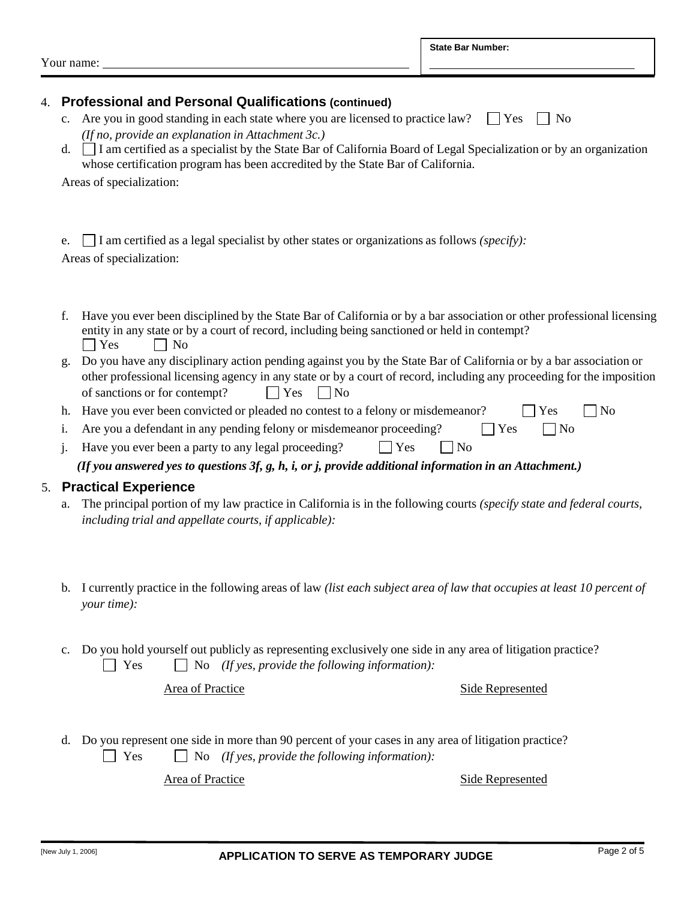|                                                                                                       | d.                                                                                                        | <b>Professional and Personal Qualifications (continued)</b><br>c. Are you in good standing in each state where you are licensed to practice law?<br>$ $   Yes<br>N <sub>0</sub><br>(If no, provide an explanation in Attachment 3c.)<br>□ I am certified as a specialist by the State Bar of California Board of Legal Specialization or by an organization<br>whose certification program has been accredited by the State Bar of California.<br>Areas of specialization:                                                                        |  |  |  |
|-------------------------------------------------------------------------------------------------------|-----------------------------------------------------------------------------------------------------------|---------------------------------------------------------------------------------------------------------------------------------------------------------------------------------------------------------------------------------------------------------------------------------------------------------------------------------------------------------------------------------------------------------------------------------------------------------------------------------------------------------------------------------------------------|--|--|--|
|                                                                                                       | e.                                                                                                        | $\Box$ I am certified as a legal specialist by other states or organizations as follows ( <i>specify</i> ):<br>Areas of specialization:                                                                                                                                                                                                                                                                                                                                                                                                           |  |  |  |
|                                                                                                       | f.<br>g.                                                                                                  | Have you ever been disciplined by the State Bar of California or by a bar association or other professional licensing<br>entity in any state or by a court of record, including being sanctioned or held in contempt?<br>$\Box$ Yes<br>N <sub>o</sub><br>Do you have any disciplinary action pending against you by the State Bar of California or by a bar association or<br>other professional licensing agency in any state or by a court of record, including any proceeding for the imposition<br>of sanctions or for contempt?<br>Yes<br>No |  |  |  |
|                                                                                                       | h.                                                                                                        | Have you ever been convicted or pleaded no contest to a felony or misdemeanor?<br>Yes<br>N <sub>0</sub>                                                                                                                                                                                                                                                                                                                                                                                                                                           |  |  |  |
| Are you a defendant in any pending felony or misdemeanor proceeding?<br>$\Box$ Yes<br>$\Box$ No<br>i. |                                                                                                           |                                                                                                                                                                                                                                                                                                                                                                                                                                                                                                                                                   |  |  |  |
|                                                                                                       | Have you ever been a party to any legal proceeding?<br>Yes<br>$\exists$ No                                |                                                                                                                                                                                                                                                                                                                                                                                                                                                                                                                                                   |  |  |  |
|                                                                                                       | (If you answered yes to questions $3f, g, h, i, or j$ , provide additional information in an Attachment.) |                                                                                                                                                                                                                                                                                                                                                                                                                                                                                                                                                   |  |  |  |
|                                                                                                       |                                                                                                           | 5. Practical Experience                                                                                                                                                                                                                                                                                                                                                                                                                                                                                                                           |  |  |  |
|                                                                                                       | a.                                                                                                        | The principal portion of my law practice in California is in the following courts (specify state and federal courts,<br>including trial and appellate courts, if applicable):                                                                                                                                                                                                                                                                                                                                                                     |  |  |  |
|                                                                                                       | b.                                                                                                        | I currently practice in the following areas of law (list each subject area of law that occupies at least 10 percent of<br>your time):                                                                                                                                                                                                                                                                                                                                                                                                             |  |  |  |
|                                                                                                       | c.                                                                                                        | Do you hold yourself out publicly as representing exclusively one side in any area of litigation practice?<br>No (If yes, provide the following information):<br>Yes                                                                                                                                                                                                                                                                                                                                                                              |  |  |  |
|                                                                                                       |                                                                                                           | <b>Area of Practice</b><br><b>Side Represented</b>                                                                                                                                                                                                                                                                                                                                                                                                                                                                                                |  |  |  |

d. Do you represent one side in more than 90 percent of your cases in any area of litigation practice? Yes No *(If yes, provide the following information):*

Area of Practice Side Represented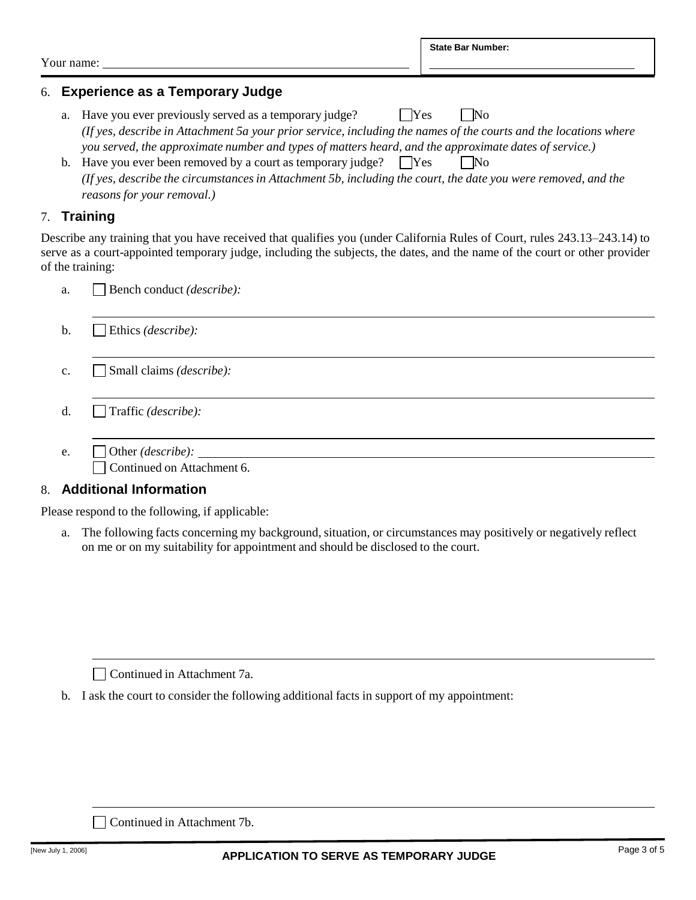Your name:

# 6. **Experience as a Temporary Judge**

- a. Have you ever previously served as a temporary judge?  $\Box$  Yes  $\Box$  No (If yes, describe in Attachment 5a your prior service, including the names of the courts and the locations where *you served, the approximate number and types of matters heard, and the approximate dates of service.)*
- b. Have you ever been removed by a court as temporary judge?  $\Box$  Yes  $\Box$  No (If yes, describe the circumstances in Attachment 5b, including the court, the date you were removed, and the *reasons for your removal.)*

## 7. **Training**

Describe any training that you have received that qualifies you (under California Rules of Court, rules 243.13–243.14) to serve as a court-appointed temporary judge, including the subjects, the dates, and the name of the court or other provider of the training:

| a.             | Bench conduct (describe):                                                                                  |
|----------------|------------------------------------------------------------------------------------------------------------|
| b.             | $\Box$ Ethics ( <i>describe</i> ):                                                                         |
| $\mathbf{C}$ . | $\Box$ Small claims ( <i>describe</i> ):                                                                   |
| d.             | $\int$ Traffic ( <i>describe</i> ):                                                                        |
| e.             | $\Box$ Other ( <i>describe</i> ): $\_\_\_\_\_\_\_\_\_\_\_\_\_\_\_\_\_\_\_\_$<br>Continued on Attachment 6. |

#### 8. **Additional Information**

Please respond to the following, if applicable:

a. The following facts concerning my background, situation, or circumstances may positively or negatively reflect on me or on my suitability for appointment and should be disclosed to the court.

Continued in Attachment 7a.

b. I ask the court to consider the following additional facts in support of my appointment:

Continued in Attachment 7b.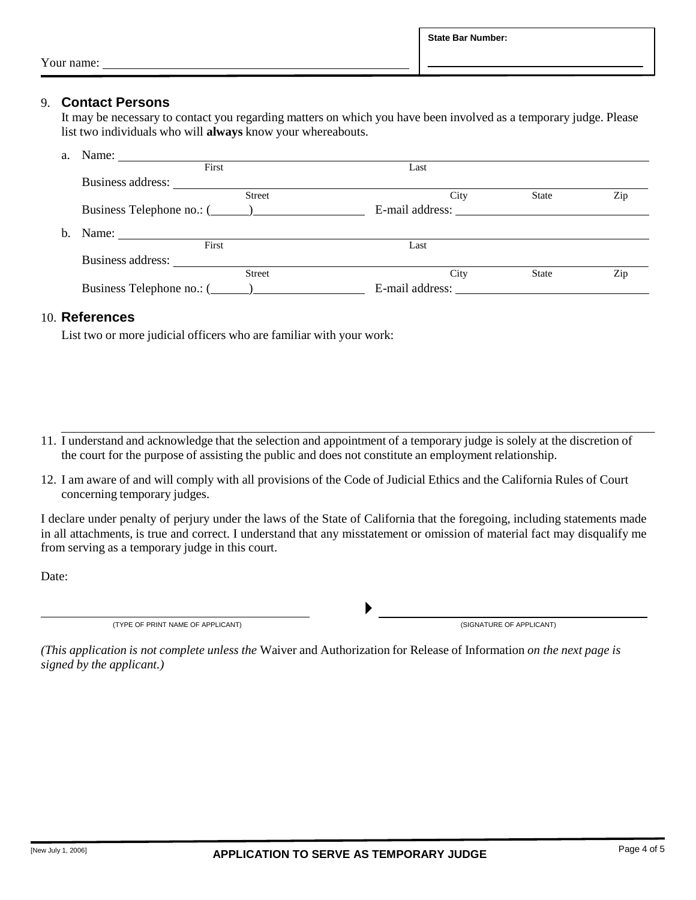#### 9. **Contact Persons**

It may be necessary to contact you regarding matters on which you have been involved as a temporary judge. Please list two individuals who will **always** know your whereabouts.

| a. | Name:                     |                 |              |     |
|----|---------------------------|-----------------|--------------|-----|
|    | First                     | Last            |              |     |
|    | Business address:         |                 |              |     |
|    | <b>Street</b>             | City            | <b>State</b> | Zip |
|    |                           | E-mail address: |              |     |
| b. | Name:                     |                 |              |     |
|    | First                     | Last            |              |     |
|    | Business address:         |                 |              |     |
|    | <b>Street</b>             | City            | <b>State</b> | Zip |
|    | Business Telephone no.: ( | E-mail address: |              |     |

#### 10. **References**

List two or more judicial officers who are familiar with your work:

- 11. I understand and acknowledge that the selection and appointment of a temporary judge is solely at the discretion of the court for the purpose of assisting the public and does not constitute an employment relationship.
- 12. I am aware of and will comply with all provisions of the Code of Judicial Ethics and the California Rules of Court concerning temporary judges.

I declare under penalty of perjury under the laws of the State of California that the foregoing, including statements made in all attachments, is true and correct. I understand that any misstatement or omission of material fact may disqualify me from serving as a temporary judge in this court.

 $\blacktriangleright$ 

Date:

(TYPE OF PRINT NAME OF APPLICANT) (SIGNATURE OF APPLICANT)

*(This application is not complete unless the* Waiver and Authorization for Release of Information *on the next page is signed by the applicant.)*